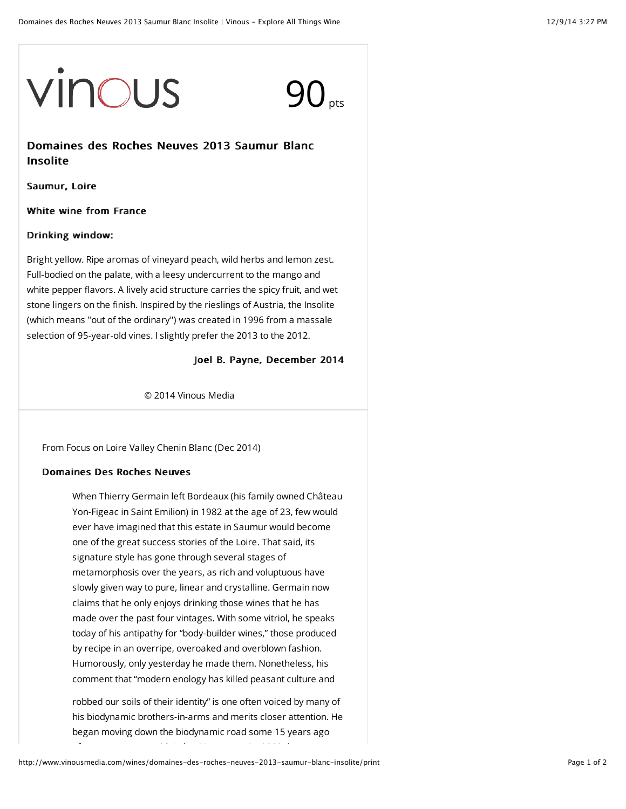# vinous



Domaines des Roches Neuves 2013 Saumur Blanc **Insolite** 

Saumur, Loire

White wine from France

## Drinking window:

Bright yellow. Ripe aromas of vineyard peach, wild herbs and lemon zest. Full-bodied on the palate, with a leesy undercurrent to the mango and white pepper flavors. A lively acid structure carries the spicy fruit, and wet stone lingers on the finish. Inspired by the rieslings of Austria, the Insolite (which means "out of the ordinary") was created in 1996 from a massale selection of 95-year-old vines. I slightly prefer the 2013 to the 2012.

# Joel B. Payne, December 2014

© 2014 Vinous Media

From [Focus on Loire Valley Chenin Blanc \(Dec 2014\)](http://www.vinousmedia.com/articles/focus-on-loire-valley-chenin-blanc-dec-2014)

# Domaines Des Roches Neuves

When Thierry Germain left Bordeaux (his family owned Château Yon-Figeac in Saint Emilion) in 1982 at the age of 23, few would ever have imagined that this estate in Saumur would become one of the great success stories of the Loire. That said, its signature style has gone through several stages of metamorphosis over the years, as rich and voluptuous have slowly given way to pure, linear and crystalline. Germain now claims that he only enjoys drinking those wines that he has made over the past four vintages. With some vitriol, he speaks today of his antipathy for "body-builder wines," those produced by recipe in an overripe, overoaked and overblown fashion. Humorously, only yesterday he made them. Nonetheless, his comment that "modern enology has killed peasant culture and

robbed our soils of their identity" is one often voiced by many of his biodynamic brothers-in-arms and merits closer attention. He began moving down the biodynamic road some 15 years ago